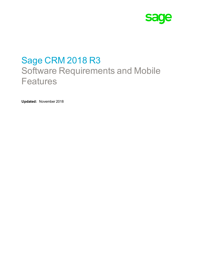

#### Sage CRM 2018 R3 Software Requirements and Mobile **Features**

**Updated:** November 2018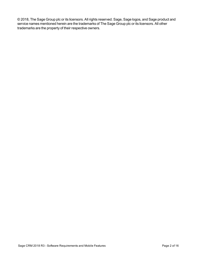© 2018, The Sage Group plc or its licensors. All rights reserved. Sage, Sage logos, and Sage product and service names mentioned herein are the trademarks of The Sage Group plc or its licensors. All other trademarks are the property of their respective owners.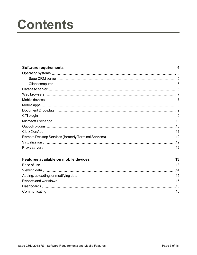# **Contents**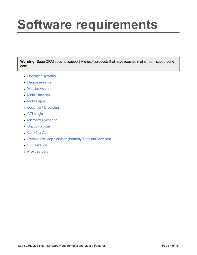# <span id="page-3-0"></span>**Software requirements**

**Warning:** Sage CRM does not support Microsoft products that have reached mainstream support end date.

- [Operating](#page-4-0) systems
- **[Database](#page-5-0) server**
- **Web [browsers](#page-6-0)**
- **Mobile [devices](#page-6-1)**
- $\bullet$  [Mobile](#page-7-0) apps
- [Document](#page-8-0) Drop plugin
- CTI [plugin](#page-8-1)
- Microsoft [Exchange](#page-9-0)
- [Outlook](#page-9-1) plugins
- **Citrix [XenApp](#page-10-0)**
- Remote Desktop Services (formerly Terminal [Services\)](#page-11-0)
- [Virtualization](#page-11-1)
- Proxy [servers](#page-11-2)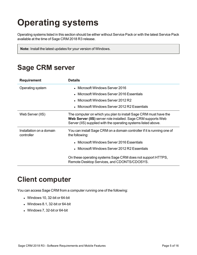# <span id="page-4-0"></span>**Operating systems**

Operating systems listed in this section should be either without Service Pack or with the latest Service Pack available at the time of Sage CRM 2018 R3 release.

**Note:** Install the latest updates for your version of Windows.

#### <span id="page-4-1"></span>**Sage CRM server**

| <b>Requirement</b>                     | <b>Details</b>                                                                                                                                                                                      |
|----------------------------------------|-----------------------------------------------------------------------------------------------------------------------------------------------------------------------------------------------------|
| Operating system                       | • Microsoft Windows Server 2016                                                                                                                                                                     |
|                                        | • Microsoft Windows Server 2016 Essentials                                                                                                                                                          |
|                                        | • Microsoft Windows Server 2012 R2                                                                                                                                                                  |
|                                        | • Microsoft Windows Server 2012 R2 Essentials                                                                                                                                                       |
| Web Server (IIS)                       | The computer on which you plan to install Sage CRM must have the<br>Web Server (IIS) server role installed. Sage CRM supports Web<br>Server (IIS) supplied with the operating systems listed above. |
| Installation on a domain<br>controller | You can install Sage CRM on a domain controller if it is running one of<br>the following:                                                                                                           |
|                                        | Microsoft Windows Server 2016 Essentials                                                                                                                                                            |
|                                        | Microsoft Windows Server 2012 R2 Essentials                                                                                                                                                         |
|                                        | On these operating systems Sage CRM does not support HTTPS,<br>Remote Desktop Services, and CDONTS/CDOSYS.                                                                                          |

#### <span id="page-4-2"></span>**Client computer**

You can access Sage CRM from a computer running one of the following:

- $\bullet$  Windows 10, 32-bit or 64-bit
- $\bullet$  Windows 8.1, 32-bit or 64-bit
- $\bullet$  Windows 7, 32-bit or 64-bit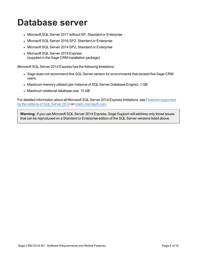#### <span id="page-5-0"></span>**Database server**

- Microsoft SQL Server 2017 without SP, Standard or Enterprise
- Microsoft SQL Server 2016 SP2, Standard or Enterprise
- Microsoft SQL Server 2014 SP2, Standard or Enterprise
- Microsoft SQL Server 2014 Express (supplied in the Sage CRM installation package)

Microsoft SQL Server 2014 Express has the following limitations:

- Sage does not recommend this SQL Server version for environments that exceed five Sage CRM users.
- Maximum memory utilized (per instance of SQL Server Database Engine): 1 GB
- Maximum relational database size: 10 GB

For detailed information about all Microsoft SQL Server 2014 Express limitations, see Features [supported](https://msdn.microsoft.com/en-us/library/cc645993(v=sql.120).aspx) by the editions of [SQL Server](https://msdn.microsoft.com/en-us/library/cc645993(v=sql.120).aspx) 2014 on [msdn.microsoft.com](https://msdn.microsoft.com/).

**Warning:** If you use Microsoft SQL Server 2014 Express, Sage Support will address only those issues that can be reproduced on a Standard or Enterprise edition of the SQL Server versions listed above.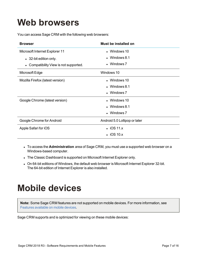#### <span id="page-6-0"></span>**Web browsers**

You can access Sage CRM with the following web browsers:

| <b>Browser</b>                         | Must be installed on          |
|----------------------------------------|-------------------------------|
| Microsoft Internet Explorer 11         | • Windows 10                  |
| • 32-bit edition only.                 | $\bullet$ Windows 8.1         |
| • Compatibility View is not supported. | $\bullet$ Windows 7           |
| Microsoft Edge                         | Windows 10                    |
| Mozilla Firefox (latest version)       | • Windows 10                  |
|                                        | • Windows $8.1$               |
|                                        | • Windows $7$                 |
| Google Chrome (latest version)         | • Windows 10                  |
|                                        | • Windows $8.1$               |
|                                        | • Windows 7                   |
| Google Chrome for Android              | Android 5.0 Lollipop or later |
| Apple Safari for iOS                   | $\cdot$ iOS 11. $x$           |
|                                        | $\cdot$ iOS 10. $x$           |

- <sup>l</sup> To access the **Administration** area of Sage CRM, you must use a supported web browser on a Windows-based computer.
- The Classic Dashboard is supported on Microsoft Internet Explorer only.
- On 64-bit editions of Windows, the default web browser is Microsoft Internet Explorer 32-bit. The 64-bit edition of Internet Explorer is also installed.

#### <span id="page-6-1"></span>**Mobile devices**

**Note:** Some Sage CRM features are not supported on mobile devices. For more information, see [Features](#page-12-0) available on mobile devices.

Sage CRM supports and is optimized for viewing on these mobile devices: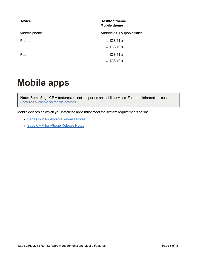| <b>Device</b> | <b>Desktop theme</b><br><b>Mobile theme</b> |
|---------------|---------------------------------------------|
| Android phone | Android 5.0 Lollipop or later               |
| iPhone        | $\cdot$ iOS 11.x                            |
|               | $\cdot$ iOS 10. $x$                         |
| iPad          | $\cdot$ iOS 11.x                            |
|               | $\cdot$ iOS 10. $x$                         |

#### <span id="page-7-0"></span>**Mobile apps**

**Note:** Some Sage CRM features are not supported on mobile devices. For more information, see [Features](#page-12-0) available on mobile devices.

Mobile devices on which you install the apps must meet the system requirements set in:

- Sage [CRM for](https://community.sagecrm.com/user_community/m/sage_crm_mobile_apps/28119/download.aspx) Android Release Notes
- Sage [CRM for](https://community.sagecrm.com/user_community/m/sage_crm_mobile_apps/28118/download.aspx) iPhone Release Notes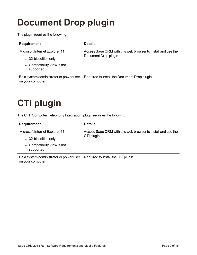### <span id="page-8-0"></span>**Document Drop plugin**

The plugin requires the following:

| <b>Requirement</b>                                          | <b>Details</b>                                               |  |
|-------------------------------------------------------------|--------------------------------------------------------------|--|
| Microsoft Internet Explorer 11                              | Access Sage CRM with this web browser to install and use the |  |
| • 32-bit edition only.                                      | Document Drop plugin.                                        |  |
| • Compatibility View is not<br>supported.                   |                                                              |  |
| Be a system administrator or power user<br>on your computer | Required to install the Document Drop plugin.                |  |

# <span id="page-8-1"></span>**CTI plugin**

The CTI (Computer Telephony Integration) plugin requires the following:

| <b>Requirement</b>                                          | <b>Details</b>                                               |  |
|-------------------------------------------------------------|--------------------------------------------------------------|--|
| Microsoft Internet Explorer 11                              | Access Sage CRM with this web browser to install and use the |  |
| • 32-bit edition only.                                      | CTI plugin.                                                  |  |
| • Compatibility View is not<br>supported.                   |                                                              |  |
| Be a system administrator or power user<br>on your computer | Required to install the CTI plugin.                          |  |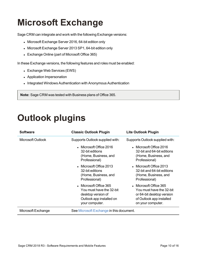### <span id="page-9-0"></span>**Microsoft Exchange**

Sage CRM can integrate and work with the following Exchange versions:

- Microsoft Exchange Server 2016, 64-bit edition only
- Microsoft Exchange Server 2013 SP1, 64-bit edition only
- Exchange Online (part of Microsoft Office 365)

In these Exchange versions, the following features and roles must be enabled:

- Exchange Web Services (EWS)
- Application Impersonation
- Integrated Windows Authentication with Anonymous Authentication

<span id="page-9-1"></span>**Note:** Sage CRM was tested with Business plans of Office 365.

#### **Outlook plugins**

| <b>Software</b>    | <b>Classic Outlook Plugin</b>                                                                                          | <b>Lite Outlook Plugin</b>                                                                                                       |
|--------------------|------------------------------------------------------------------------------------------------------------------------|----------------------------------------------------------------------------------------------------------------------------------|
| Microsoft Outlook  | Supports Outlook supplied with:                                                                                        | Supports Outlook supplied with:                                                                                                  |
|                    | • Microsoft Office 2016<br>32-bit editions<br>(Home, Business, and<br>Professional)                                    | • Microsoft Office 2016<br>32-bit and 64-bit editions<br>(Home, Business, and<br>Professional)                                   |
|                    | • Microsoft Office 2013<br>32-bit editions<br>(Home, Business, and<br>Professional)                                    | • Microsoft Office 2013<br>32-bit and 64-bit editions<br>(Home, Business, and<br>Professional)                                   |
|                    | • Microsoft Office 365<br>You must have the 32-bit<br>desktop version of<br>Outlook app installed on<br>your computer. | • Microsoft Office 365<br>You must have the 32-bit<br>or 64-bit desktop version<br>of Outlook app installed<br>on your computer. |
| Microsoft Exchange | See Microsoft Exchange in this document.                                                                               |                                                                                                                                  |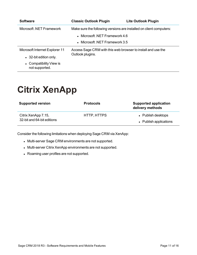| <b>Software</b>                           | <b>Classic Outlook Plugin</b>                                                                        | <b>Lite Outlook Plugin</b> |
|-------------------------------------------|------------------------------------------------------------------------------------------------------|----------------------------|
| Microsoft .NET Framework                  | Make sure the following versions are installed on client computers:<br>• Microsoft NET Framework 4.6 |                            |
|                                           |                                                                                                      |                            |
|                                           | • Microsoft .NET Framework 3.5                                                                       |                            |
| Microsoft Internet Explorer 11            | Access Sage CRM with this web browser to install and use the                                         |                            |
| • 32-bit edition only.                    | Outlook plugins.                                                                                     |                            |
| • Compatibility View is<br>not supported. |                                                                                                      |                            |

### <span id="page-10-0"></span>**Citrix XenApp**

| <b>Supported version</b>                          | <b>Protocols</b> | <b>Supported application</b><br>delivery methods |
|---------------------------------------------------|------------------|--------------------------------------------------|
| Citrix XenApp 7.15,<br>32-bit and 64-bit editions | HTTP, HTTPS      | • Publish desktops<br>• Publish applications     |

Consider the following limitations when deploying Sage CRM via XenApp:

- Multi-server Sage CRM environments are not supported.
- Multi-server Citrix XenApp environments are not supported.
- Roaming user profiles are not supported.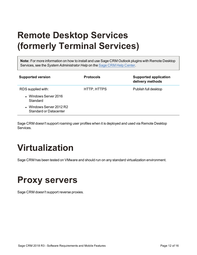### <span id="page-11-0"></span>**Remote Desktop Services (formerly Terminal Services)**

**Note:** For more information on how to install and use Sage CRM Outlook plugins with Remote Desktop Services, see the *System Administrator Help* on the Sage [CRM Help](http://help.sagecrm.com/) Center.

| <b>Supported version</b>                                  | <b>Protocols</b> | <b>Supported application</b><br>delivery methods |
|-----------------------------------------------------------|------------------|--------------------------------------------------|
| RDS supplied with:                                        | HTTP, HTTPS      | Publish full desktop                             |
| • Windows Server 2016<br>Standard                         |                  |                                                  |
| • Windows Server 2012 R2<br><b>Standard or Datacenter</b> |                  |                                                  |

Sage CRM doesn't support roaming user profiles when it is deployed and used via Remote Desktop Services.

### <span id="page-11-1"></span>**Virtualization**

<span id="page-11-2"></span>Sage CRM has been tested on VMware and should run on any standard virtualization environment.

#### **Proxy servers**

Sage CRM doesn't support reverse proxies.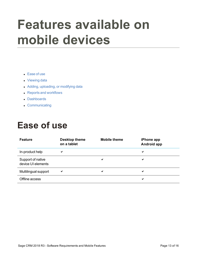# <span id="page-12-0"></span>**Features available on mobile devices**

- $\cdot$  [Ease](#page-12-1) of use
- $\bullet$  [Viewing](#page-13-0) data
- Adding, [uploading,](#page-14-0) or modifying data
- $\cdot$  Reports and [workflows](#page-14-1)
- [Dashboards](#page-15-0)
- <span id="page-12-1"></span>• [Communicating](#page-15-1)

#### **Ease of use**

| <b>Feature</b>                          | Desktop theme<br>on a tablet | <b>Mobile theme</b> | iPhone app<br>Android app |
|-----------------------------------------|------------------------------|---------------------|---------------------------|
| In-product help                         | ✔                            |                     | ✔                         |
| Support of native<br>device UI elements |                              | ✔                   | ✔                         |
| Multilingual support                    | ✔                            | ✔                   | ✔                         |
| Offline access                          |                              |                     | ✔                         |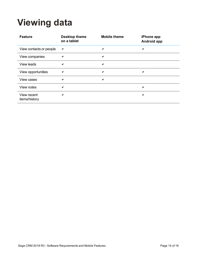### <span id="page-13-0"></span>**Viewing data**

| <b>Feature</b>               | <b>Desktop theme</b><br>on a tablet | <b>Mobile theme</b> | iPhone app<br>Android app |
|------------------------------|-------------------------------------|---------------------|---------------------------|
| View contacts or people      | $\checkmark$                        | ✔                   | ✔                         |
| View companies               | ✔                                   | ✔                   |                           |
| View leads                   | ✔                                   | ✔                   |                           |
| View opportunities           | ✔                                   | ✔                   | ✔                         |
| View cases                   | ✔                                   | ✔                   |                           |
| View notes                   | ✔                                   |                     | ✔                         |
| View recent<br>items/history | ✔                                   |                     | ✔                         |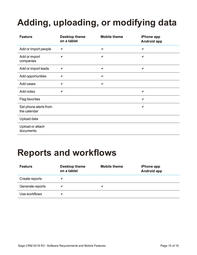# <span id="page-14-0"></span>**Adding, uploading, or modifying data**

| <b>Feature</b>                        | <b>Desktop theme</b><br>on a tablet | <b>Mobile theme</b> | iPhone app<br><b>Android app</b> |
|---------------------------------------|-------------------------------------|---------------------|----------------------------------|
| Add or import people                  | ✔                                   | $\checkmark$        | $\checkmark$                     |
| Add or import<br>companies            | ✔                                   | ✔                   | $\checkmark$                     |
| Add or import leads                   | ✔                                   | ✔                   | $\checkmark$                     |
| Add opportunities                     | ✔                                   | ✔                   |                                  |
| Add cases                             | ✔                                   | ✔                   |                                  |
| Add notes                             | ✔                                   |                     | ✔                                |
| Flag favorites                        |                                     |                     | ✔                                |
| Set phone alerts from<br>the calendar |                                     |                     | $\checkmark$                     |
| Upload data                           |                                     |                     |                                  |
| Upload or attach<br>documents         |                                     |                     |                                  |

#### <span id="page-14-1"></span>**Reports and workflows**

| <b>Feature</b>   | Desktop theme<br>on a tablet | <b>Mobile theme</b> | iPhone app<br>Android app |
|------------------|------------------------------|---------------------|---------------------------|
| Create reports   | ✔                            |                     |                           |
| Generate reports | ✔                            | ✔                   |                           |
| Use workflows    | ✔                            |                     |                           |